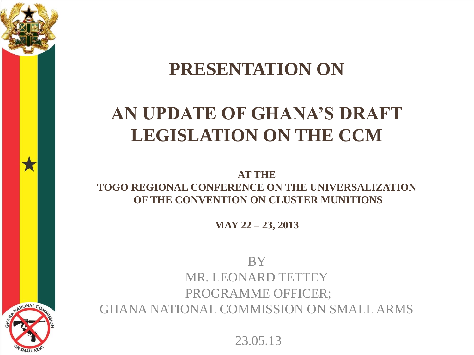

#### **PRESENTATION ON**

#### **AN UPDATE OF GHANA'S DRAFT LEGISLATION ON THE CCM**

**AT THE TOGO REGIONAL CONFERENCE ON THE UNIVERSALIZATION OF THE CONVENTION ON CLUSTER MUNITIONS**

**MAY 22 – 23, 2013**

**BY** MR. LEONARD TETTEY PROGRAMME OFFICER; GHANA NATIONAL COMMISSION ON SMALL ARMS

23.05.13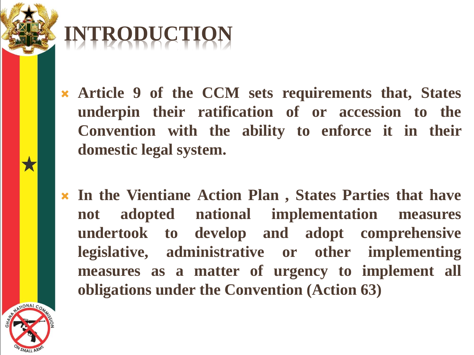## **INTRODUCTION**

- **Article 9 of the CCM sets requirements that, States underpin their ratification of or accession to the Convention with the ability to enforce it in their domestic legal system.**
- **In the Vientiane Action Plan , States Parties that have not adopted national implementation measures undertook to develop and adopt comprehensive legislative, administrative or other implementing measures as a matter of urgency to implement all obligations under the Convention (Action 63)**

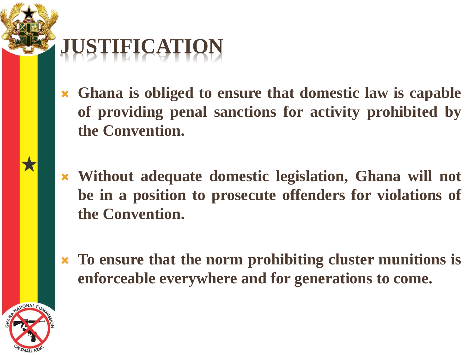

- **Ghana is obliged to ensure that domestic law is capable of providing penal sanctions for activity prohibited by the Convention.**
- **Without adequate domestic legislation, Ghana will not be in a position to prosecute offenders for violations of the Convention.**
- **To ensure that the norm prohibiting cluster munitions is enforceable everywhere and for generations to come.**

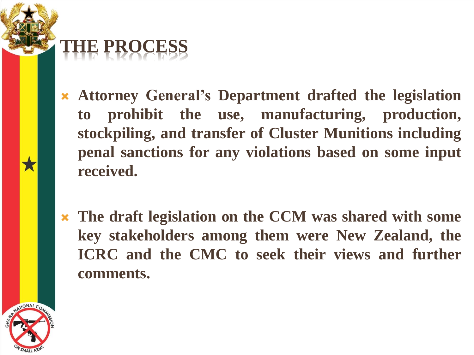### **THE PROCESS**

- **Attorney General's Department drafted the legislation to prohibit the use, manufacturing, production, stockpiling, and transfer of Cluster Munitions including penal sanctions for any violations based on some input received.**
- **The draft legislation on the CCM was shared with some key stakeholders among them were New Zealand, the ICRC and the CMC to seek their views and further comments.**

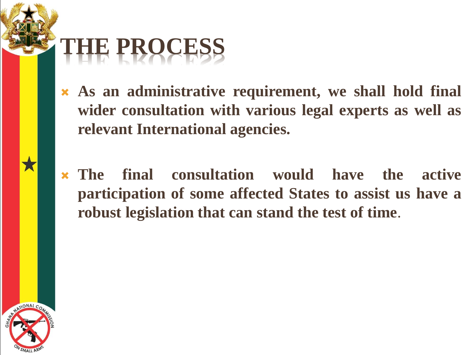### **THE PROCESS**

- **As an administrative requirement, we shall hold final wider consultation with various legal experts as well as relevant International agencies.**
- **The final consultation would have the active participation of some affected States to assist us have a robust legislation that can stand the test of time**.

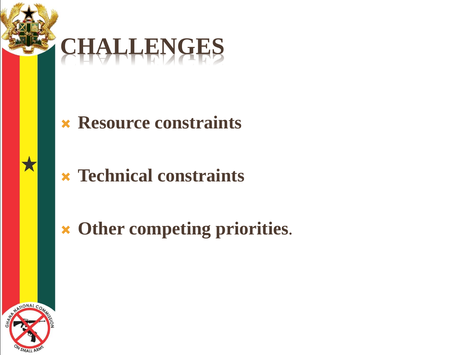



#### **Resource constraints**

**Technical constraints**

### **Other competing priorities**.

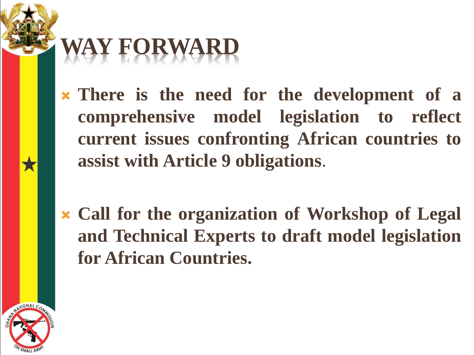# **WAY FORWARD**

 **There is the need for the development of a comprehensive model legislation to reflect current issues confronting African countries to assist with Article 9 obligations**.

 **Call for the organization of Workshop of Legal and Technical Experts to draft model legislation for African Countries.**

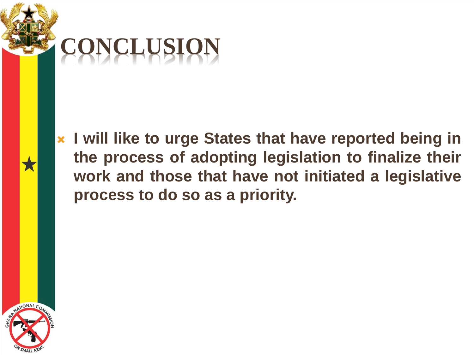

 **I will like to urge States that have reported being in the process of adopting legislation to finalize their work and those that have not initiated a legislative process to do so as a priority.**